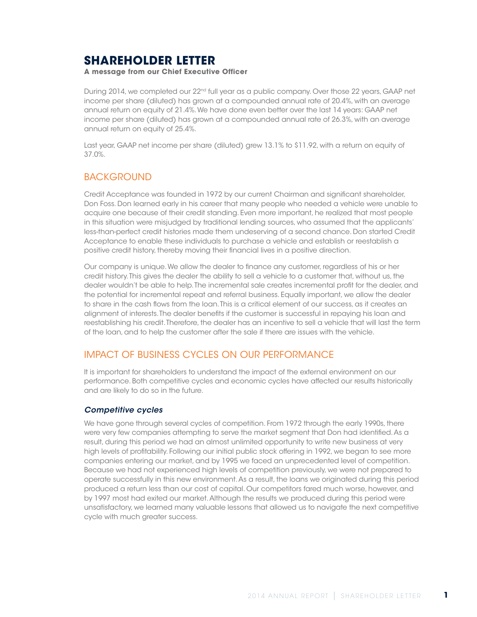# **SHAREHOLDER LETTER**

**A message from our Chief Executive Officer**

During 2014, we completed our 22<sup>nd</sup> full year as a public company. Over those 22 years, GAAP net income per share (diluted) has grown at a compounded annual rate of 20.4%, with an average annual return on equity of 21.4%. We have done even better over the last 14 years: GAAP net income per share (diluted) has grown at a compounded annual rate of 26.3%, with an average annual return on equity of 25.4%.

Last year, GAAP net income per share (diluted) grew 13.1% to \$11.92, with a return on equity of 37.0%.

### **BACKGROUND**

Credit Acceptance was founded in 1972 by our current Chairman and significant shareholder, Don Foss. Don learned early in his career that many people who needed a vehicle were unable to acquire one because of their credit standing. Even more important, he realized that most people in this situation were misjudged by traditional lending sources, who assumed that the applicants' less-than-perfect credit histories made them undeserving of a second chance. Don started Credit Acceptance to enable these individuals to purchase a vehicle and establish or reestablish a positive credit history, thereby moving their financial lives in a positive direction.

Our company is unique. We allow the dealer to finance any customer, regardless of his or her credit history. This gives the dealer the ability to sell a vehicle to a customer that, without us, the dealer wouldn't be able to help. The incremental sale creates incremental profit for the dealer, and the potential for incremental repeat and referral business. Equally important, we allow the dealer to share in the cash flows from the loan. This is a critical element of our success, as it creates an alignment of interests. The dealer benefits if the customer is successful in repaying his loan and reestablishing his credit. Therefore, the dealer has an incentive to sell a vehicle that will last the term of the loan, and to help the customer after the sale if there are issues with the vehicle.

### IMPACT OF BUSINESS CYCLES ON OUR PERFORMANCE

It is important for shareholders to understand the impact of the external environment on our performance. Both competitive cycles and economic cycles have affected our results historically and are likely to do so in the future.

#### *Competitive cycles*

We have gone through several cycles of competition. From 1972 through the early 1990s, there were very few companies attempting to serve the market segment that Don had identified. As a result, during this period we had an almost unlimited opportunity to write new business at very high levels of profitability. Following our initial public stock offering in 1992, we began to see more companies entering our market, and by 1995 we faced an unprecedented level of competition. Because we had not experienced high levels of competition previously, we were not prepared to operate successfully in this new environment. As a result, the loans we originated during this period produced a return less than our cost of capital. Our competitors fared much worse, however, and by 1997 most had exited our market. Although the results we produced during this period were unsatisfactory, we learned many valuable lessons that allowed us to navigate the next competitive cycle with much greater success.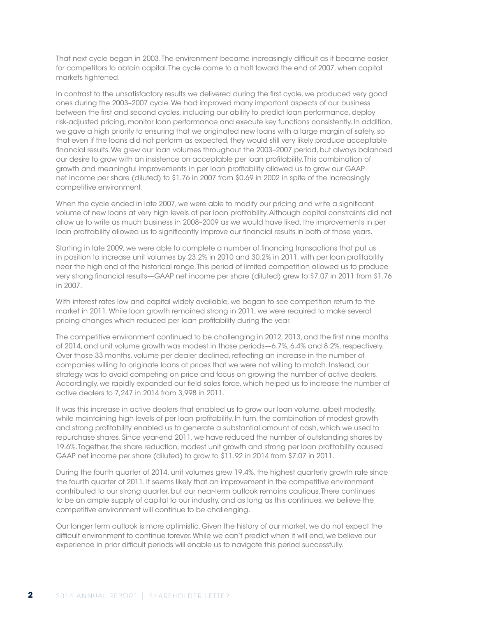That next cycle began in 2003. The environment became increasingly difficult as it became easier for competitors to obtain capital. The cycle came to a halt toward the end of 2007, when capital markets tightened.

In contrast to the unsatisfactory results we delivered during the first cycle, we produced very good ones during the 2003–2007 cycle. We had improved many important aspects of our business between the first and second cycles, including our ability to predict loan performance, deploy risk-adjusted pricing, monitor loan performance and execute key functions consistently. In addition, we gave a high priority to ensuring that we originated new loans with a large margin of safety, so that even if the loans did not perform as expected, they would still very likely produce acceptable financial results. We grew our loan volumes throughout the 2003–2007 period, but always balanced our desire to grow with an insistence on acceptable per loan profitability. This combination of growth and meaningful improvements in per loan profitability allowed us to grow our GAAP net income per share (diluted) to \$1.76 in 2007 from \$0.69 in 2002 in spite of the increasingly competitive environment.

When the cycle ended in late 2007, we were able to modify our pricing and write a significant volume of new loans at very high levels of per loan profitability. Although capital constraints did not allow us to write as much business in 2008–2009 as we would have liked, the improvements in per loan profitability allowed us to significantly improve our financial results in both of those years.

Starting in late 2009, we were able to complete a number of financing transactions that put us in position to increase unit volumes by 23.2% in 2010 and 30.2% in 2011, with per loan profitability near the high end of the historical range. This period of limited competition allowed us to produce very strong financial results—GAAP net income per share (diluted) grew to \$7.07 in 2011 from \$1.76 in 2007.

With interest rates low and capital widely available, we began to see competition return to the market in 2011. While loan growth remained strong in 2011, we were required to make several pricing changes which reduced per loan profitability during the year.

The competitive environment continued to be challenging in 2012, 2013, and the first nine months of 2014, and unit volume growth was modest in those periods—6.7%, 6.4% and 8.2%, respectively. Over those 33 months, volume per dealer declined, reflecting an increase in the number of companies willing to originate loans at prices that we were not willing to match. Instead, our strategy was to avoid competing on price and focus on growing the number of active dealers. Accordingly, we rapidly expanded our field sales force, which helped us to increase the number of active dealers to 7,247 in 2014 from 3,998 in 2011.

It was this increase in active dealers that enabled us to grow our loan volume, albeit modestly, while maintaining high levels of per loan profitability. In turn, the combination of modest growth and strong profitability enabled us to generate a substantial amount of cash, which we used to repurchase shares. Since year-end 2011, we have reduced the number of outstanding shares by 19.6%. Together, the share reduction, modest unit growth and strong per loan profitability caused GAAP net income per share (diluted) to grow to \$11.92 in 2014 from \$7.07 in 2011.

During the fourth quarter of 2014, unit volumes grew 19.4%, the highest quarterly growth rate since the fourth quarter of 2011. It seems likely that an improvement in the competitive environment contributed to our strong quarter, but our near-term outlook remains cautious. There continues to be an ample supply of capital to our industry, and as long as this continues, we believe the competitive environment will continue to be challenging.

Our longer term outlook is more optimistic. Given the history of our market, we do not expect the difficult environment to continue forever. While we can't predict when it will end, we believe our experience in prior difficult periods will enable us to navigate this period successfully.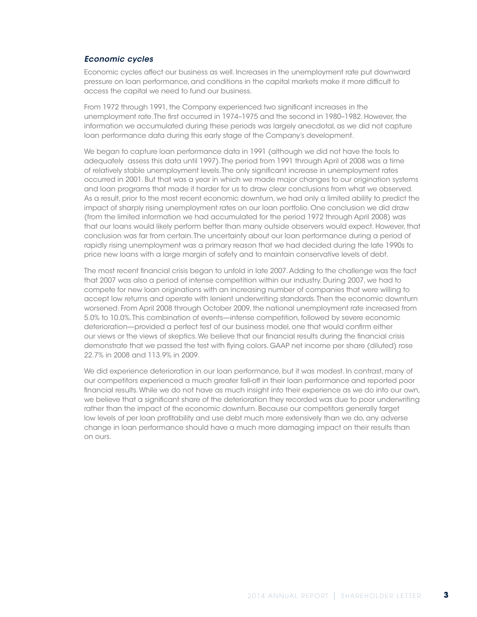#### *Economic cycles*

Economic cycles affect our business as well. Increases in the unemployment rate put downward pressure on loan performance, and conditions in the capital markets make it more difficult to access the capital we need to fund our business.

From 1972 through 1991, the Company experienced two significant increases in the unemployment rate. The first occurred in 1974–1975 and the second in 1980–1982. However, the information we accumulated during these periods was largely anecdotal, as we did not capture loan performance data during this early stage of the Company's development.

We began to capture loan performance data in 1991 (although we did not have the tools to adequately assess this data until 1997). The period from 1991 through April of 2008 was a time of relatively stable unemployment levels. The only significant increase in unemployment rates occurred in 2001. But that was a year in which we made major changes to our origination systems and loan programs that made it harder for us to draw clear conclusions from what we observed. As a result, prior to the most recent economic downturn, we had only a limited ability to predict the impact of sharply rising unemployment rates on our loan portfolio. One conclusion we did draw (from the limited information we had accumulated for the period 1972 through April 2008) was that our loans would likely perform better than many outside observers would expect. However, that conclusion was far from certain. The uncertainty about our loan performance during a period of rapidly rising unemployment was a primary reason that we had decided during the late 1990s to price new loans with a large margin of safety and to maintain conservative levels of debt.

The most recent financial crisis began to unfold in late 2007. Adding to the challenge was the fact that 2007 was also a period of intense competition within our industry. During 2007, we had to compete for new loan originations with an increasing number of companies that were willing to accept low returns and operate with lenient underwriting standards. Then the economic downturn worsened. From April 2008 through October 2009, the national unemployment rate increased from 5.0% to 10.0%. This combination of events—intense competition, followed by severe economic deterioration—provided a perfect test of our business model, one that would confirm either our views or the views of skeptics. We believe that our financial results during the financial crisis demonstrate that we passed the test with flying colors. GAAP net income per share (diluted) rose 22.7% in 2008 and 113.9% in 2009.

We did experience deterioration in our loan performance, but it was modest. In contrast, many of our competitors experienced a much greater fall-off in their loan performance and reported poor financial results. While we do not have as much insight into their experience as we do into our own, we believe that a significant share of the deterioration they recorded was due to poor underwriting rather than the impact of the economic downturn. Because our competitors generally target low levels of per loan profitability and use debt much more extensively than we do, any adverse change in loan performance should have a much more damaging impact on their results than on ours.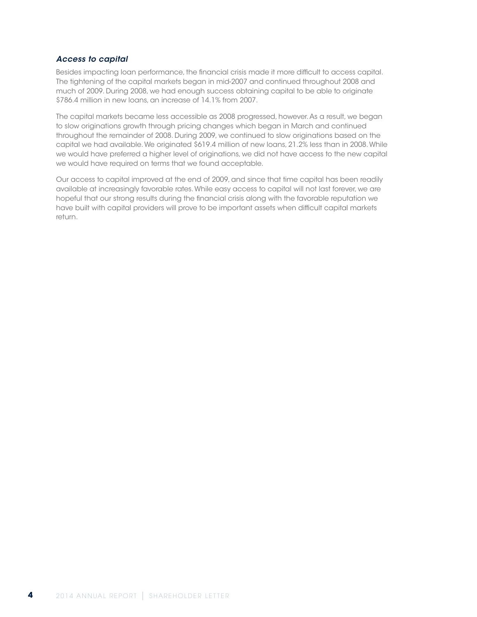#### *Access to capital*

Besides impacting loan performance, the financial crisis made it more difficult to access capital. The tightening of the capital markets began in mid-2007 and continued throughout 2008 and much of 2009. During 2008, we had enough success obtaining capital to be able to originate \$786.4 million in new loans, an increase of 14.1% from 2007.

The capital markets became less accessible as 2008 progressed, however. As a result, we began to slow originations growth through pricing changes which began in March and continued throughout the remainder of 2008. During 2009, we continued to slow originations based on the capital we had available. We originated \$619.4 million of new loans, 21.2% less than in 2008. While we would have preferred a higher level of originations, we did not have access to the new capital we would have required on terms that we found acceptable.

Our access to capital improved at the end of 2009, and since that time capital has been readily available at increasingly favorable rates. While easy access to capital will not last forever, we are hopeful that our strong results during the financial crisis along with the favorable reputation we have built with capital providers will prove to be important assets when difficult capital markets return.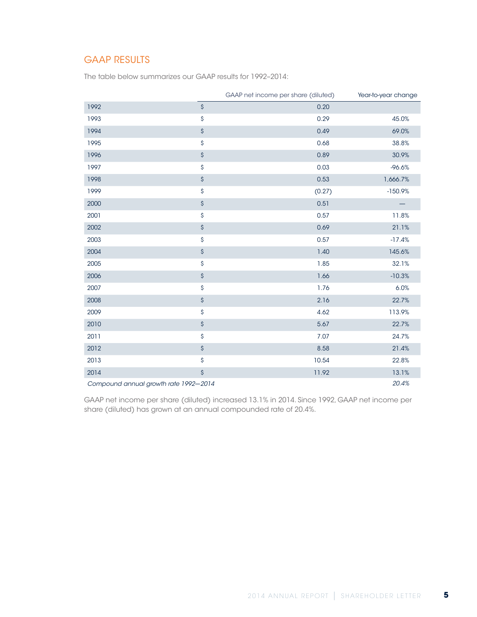# GAAP RESULTS

The table below summarizes our GAAP results for 1992–2014:

|                                       |                           | GAAP net income per share (diluted) | Year-to-year change |
|---------------------------------------|---------------------------|-------------------------------------|---------------------|
| 1992                                  | $\boldsymbol{\mathsf{S}}$ | 0.20                                |                     |
| 1993                                  | \$                        | 0.29                                | 45.0%               |
| 1994                                  | \$                        | 0.49                                | 69.0%               |
| 1995                                  | \$                        | 0.68                                | 38.8%               |
| 1996                                  | \$                        | 0.89                                | 30.9%               |
| 1997                                  | \$                        | 0.03                                | $-96.6%$            |
| 1998                                  | $\boldsymbol{\mathsf{S}}$ | 0.53                                | 1,666.7%            |
| 1999                                  | \$                        | (0.27)                              | $-150.9%$           |
| 2000                                  | $\boldsymbol{\mathsf{S}}$ | 0.51                                |                     |
| 2001                                  | \$                        | 0.57                                | 11.8%               |
| 2002                                  | $\boldsymbol{\mathsf{S}}$ | 0.69                                | 21.1%               |
| 2003                                  | \$                        | 0.57                                | $-17.4%$            |
| 2004                                  | \$                        | 1.40                                | 145.6%              |
| 2005                                  | \$                        | 1.85                                | 32.1%               |
| 2006                                  | \$                        | 1.66                                | $-10.3%$            |
| 2007                                  | \$                        | 1.76                                | 6.0%                |
| 2008                                  | \$                        | 2.16                                | 22.7%               |
| 2009                                  | \$                        | 4.62                                | 113.9%              |
| 2010                                  | $\boldsymbol{\mathsf{S}}$ | 5.67                                | 22.7%               |
| 2011                                  | \$                        | 7.07                                | 24.7%               |
| 2012                                  | $\boldsymbol{\mathsf{S}}$ | 8.58                                | 21.4%               |
| 2013                                  | \$                        | 10.54                               | 22.8%               |
| 2014                                  | \$                        | 11.92                               | 13.1%               |
| Compound annual growth rate 1992-2014 |                           |                                     | 20.4%               |

GAAP net income per share (diluted) increased 13.1% in 2014. Since 1992, GAAP net income per share (diluted) has grown at an annual compounded rate of 20.4%.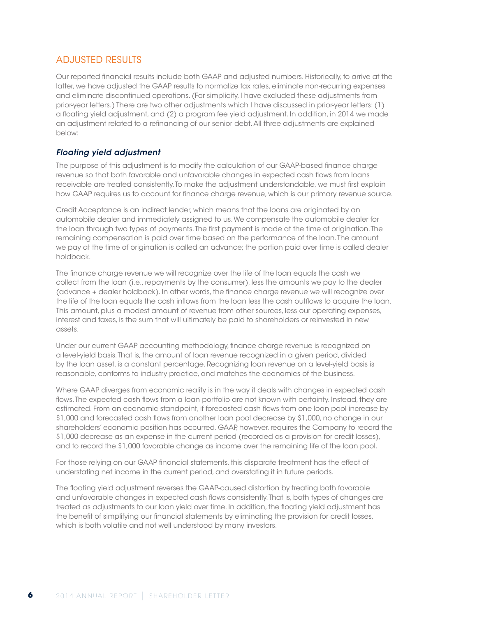### ADJUSTED RESULTS

Our reported financial results include both GAAP and adjusted numbers. Historically, to arrive at the latter, we have adjusted the GAAP results to normalize tax rates, eliminate non-recurring expenses and eliminate discontinued operations. (For simplicity, I have excluded these adjustments from prior-year letters.) There are two other adjustments which I have discussed in prior-year letters: (1) a floating yield adjustment, and (2) a program fee yield adjustment. In addition, in 2014 we made an adjustment related to a refinancing of our senior debt. All three adjustments are explained below:

### *Floating yield adjustment*

The purpose of this adjustment is to modify the calculation of our GAAP-based finance charge revenue so that both favorable and unfavorable changes in expected cash flows from loans receivable are treated consistently. To make the adjustment understandable, we must first explain how GAAP requires us to account for finance charge revenue, which is our primary revenue source.

Credit Acceptance is an indirect lender, which means that the loans are originated by an automobile dealer and immediately assigned to us. We compensate the automobile dealer for the loan through two types of payments. The first payment is made at the time of origination. The remaining compensation is paid over time based on the performance of the loan. The amount we pay at the time of origination is called an advance; the portion paid over time is called dealer holdback.

The finance charge revenue we will recognize over the life of the loan equals the cash we collect from the loan (i.e., repayments by the consumer), less the amounts we pay to the dealer (advance + dealer holdback). In other words, the finance charge revenue we will recognize over the life of the loan equals the cash inflows from the loan less the cash outflows to acquire the loan. This amount, plus a modest amount of revenue from other sources, less our operating expenses, interest and taxes, is the sum that will ultimately be paid to shareholders or reinvested in new assets.

Under our current GAAP accounting methodology, finance charge revenue is recognized on a level-yield basis. That is, the amount of loan revenue recognized in a given period, divided by the loan asset, is a constant percentage. Recognizing loan revenue on a level-yield basis is reasonable, conforms to industry practice, and matches the economics of the business.

Where GAAP diverges from economic reality is in the way it deals with changes in expected cash flows. The expected cash flows from a loan portfolio are not known with certainty. Instead, they are estimated. From an economic standpoint, if forecasted cash flows from one loan pool increase by \$1,000 and forecasted cash flows from another loan pool decrease by \$1,000, no change in our shareholders' economic position has occurred. GAAP, however, requires the Company to record the \$1,000 decrease as an expense in the current period (recorded as a provision for credit losses), and to record the \$1,000 favorable change as income over the remaining life of the loan pool.

For those relying on our GAAP financial statements, this disparate treatment has the effect of understating net income in the current period, and overstating it in future periods.

The floating yield adjustment reverses the GAAP-caused distortion by treating both favorable and unfavorable changes in expected cash flows consistently. That is, both types of changes are treated as adjustments to our loan yield over time. In addition, the floating yield adjustment has the benefit of simplifying our financial statements by eliminating the provision for credit losses, which is both volatile and not well understood by many investors.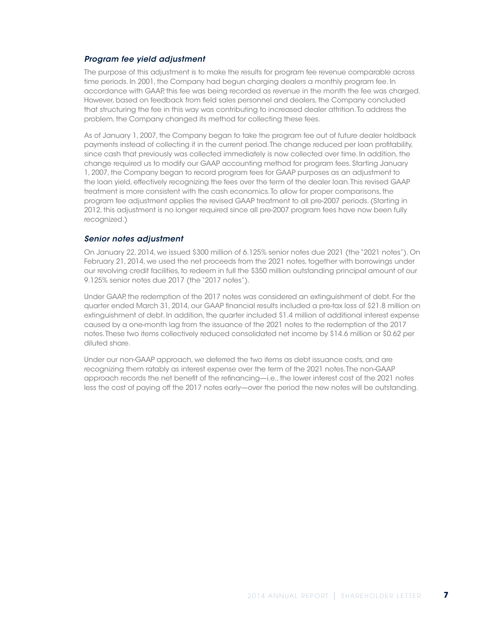#### *Program fee yield adjustment*

The purpose of this adjustment is to make the results for program fee revenue comparable across time periods. In 2001, the Company had begun charging dealers a monthly program fee. In accordance with GAAP, this fee was being recorded as revenue in the month the fee was charged. However, based on feedback from field sales personnel and dealers, the Company concluded that structuring the fee in this way was contributing to increased dealer attrition. To address the problem, the Company changed its method for collecting these fees.

As of January 1, 2007, the Company began to take the program fee out of future dealer holdback payments instead of collecting it in the current period. The change reduced per loan profitability, since cash that previously was collected immediately is now collected over time. In addition, the change required us to modify our GAAP accounting method for program fees. Starting January 1, 2007, the Company began to record program fees for GAAP purposes as an adjustment to the loan yield, effectively recognizing the fees over the term of the dealer loan. This revised GAAP treatment is more consistent with the cash economics. To allow for proper comparisons, the program fee adjustment applies the revised GAAP treatment to all pre-2007 periods. (Starting in 2012, this adjustment is no longer required since all pre-2007 program fees have now been fully recognized.)

#### *Senior notes adjustment*

On January 22, 2014, we issued \$300 million of 6.125% senior notes due 2021 (the "2021 notes"). On February 21, 2014, we used the net proceeds from the 2021 notes, together with borrowings under our revolving credit facilities, to redeem in full the \$350 million outstanding principal amount of our 9.125% senior notes due 2017 (the "2017 notes").

Under GAAP, the redemption of the 2017 notes was considered an extinguishment of debt. For the quarter ended March 31, 2014, our GAAP financial results included a pre-tax loss of \$21.8 million on extinguishment of debt. In addition, the quarter included \$1.4 million of additional interest expense caused by a one-month lag from the issuance of the 2021 notes to the redemption of the 2017 notes. These two items collectively reduced consolidated net income by \$14.6 million or \$0.62 per diluted share.

Under our non-GAAP approach, we deferred the two items as debt issuance costs, and are recognizing them ratably as interest expense over the term of the 2021 notes. The non-GAAP approach records the net benefit of the refinancing—i.e., the lower interest cost of the 2021 notes less the cost of paying off the 2017 notes early—over the period the new notes will be outstanding.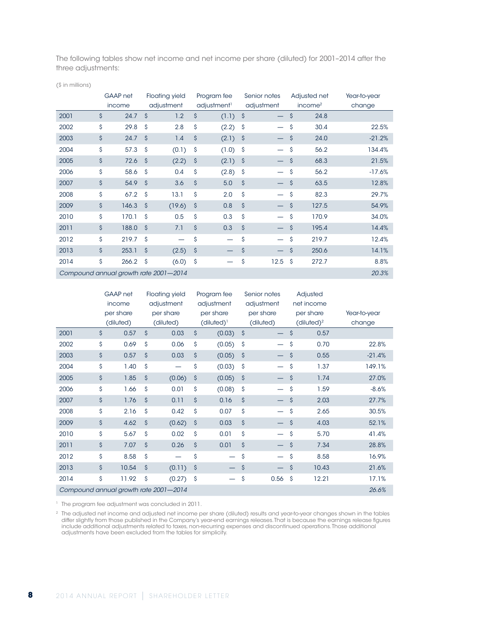The following tables show net income and net income per share (diluted) for 2001–2014 after the three adjustments:

(\$ in millions)

|                                                |    | GAAP net<br>income |                     | <b>Floating yield</b><br>adjustment |                    | Program fee<br>adjustment <sup>1</sup> |                    | Senior notes<br>adjustment |                    | Adjusted net<br>income <sup>2</sup> | Year-to-year<br>change |
|------------------------------------------------|----|--------------------|---------------------|-------------------------------------|--------------------|----------------------------------------|--------------------|----------------------------|--------------------|-------------------------------------|------------------------|
| 2001                                           | \$ | 24.7               | $\mathsf{\hat{S}}$  | 1.2                                 | \$                 | (1.1)                                  | $\mathsf{S}$       |                            | \$                 | 24.8                                |                        |
| 2002                                           | \$ | 29.8               | $\mathsf{\hat{S}}$  | 2.8                                 | \$                 | (2.2)                                  | Ŝ                  |                            | \$                 | 30.4                                | 22.5%                  |
| 2003                                           | \$ | 24.7               | $\mathsf{\hat{S}}$  | 1.4                                 | $\mathsf{\hat{S}}$ | (2.1)                                  | S.                 |                            | \$                 | 24.0                                | $-21.2%$               |
| 2004                                           | \$ | 57.3               | <sup>S</sup>        | (0.1)                               | \$                 | (1.0)                                  | -\$                |                            | \$                 | 56.2                                | 134.4%                 |
| 2005                                           | \$ | 72.6               | $\ddot{s}$          | (2.2)                               | $\hat{\mathsf{S}}$ | (2.1)                                  | - \$               |                            | \$                 | 68.3                                | 21.5%                  |
| 2006                                           | \$ | 58.6               | \$                  | 0.4                                 | \$                 | (2.8)                                  | \$                 |                            | \$                 | 56.2                                | $-17.6%$               |
| 2007                                           | \$ | 54.9               | $\mathsf{S}$        | 3.6                                 | $\mathsf{\hat{S}}$ | 5.0                                    | $\mathsf{\hat{S}}$ |                            | $\mathsf{\hat{S}}$ | 63.5                                | 12.8%                  |
| 2008                                           | \$ | 67.2               | <sup>S</sup>        | 13.1                                | \$                 | 2.0                                    | \$                 |                            | \$                 | 82.3                                | 29.7%                  |
| 2009                                           | \$ | 146.3              | $\hat{\mathcal{S}}$ | (19.6)                              | $\hat{\mathsf{S}}$ | 0.8                                    | $\mathsf{\hat{S}}$ |                            | \$                 | 127.5                               | 54.9%                  |
| 2010                                           | \$ | 170.1              | \$                  | 0.5                                 | \$                 | 0.3                                    | $\mathsf{\hat{S}}$ |                            | \$                 | 170.9                               | 34.0%                  |
| 2011                                           | \$ | 188.0              | $\mathsf{S}$        | 7.1                                 | $\mathsf{\hat{S}}$ | 0.3                                    | $\mathsf{\hat{S}}$ |                            | \$                 | 195.4                               | 14.4%                  |
| 2012                                           | \$ | 219.7              | \$                  |                                     | \$                 |                                        | \$                 |                            | \$                 | 219.7                               | 12.4%                  |
| 2013                                           | \$ | 253.1              | $\hat{\mathsf{S}}$  | (2.5)                               | $\hat{\mathsf{S}}$ |                                        | \$                 |                            | \$                 | 250.6                               | 14.1%                  |
| 2014                                           | \$ | 266.2              | <sub>S</sub>        | (6.0)                               | \$                 |                                        | \$                 | 12.5                       | \$                 | 272.7                               | 8.8%                   |
| 20.3%<br>Compound annual growth rate 2001-2014 |    |                    |                     |                                     |                    |                                        |                    |                            |                    |                                     |                        |

|                                                |    | GAAP net  |                    | <b>Floating yield</b> |                    | Program fee     |                    | Senior notes |                     | Adjusted               |              |
|------------------------------------------------|----|-----------|--------------------|-----------------------|--------------------|-----------------|--------------------|--------------|---------------------|------------------------|--------------|
|                                                |    | income    |                    | adjustment            | adjustment         |                 |                    | adjustment   | net income          |                        |              |
|                                                |    | per share |                    | per share             |                    | per share       |                    | per share    |                     | per share              | Year-to-year |
|                                                |    | (diluted) |                    | (diluted)             |                    | $(diluted)^{1}$ |                    | (diluted)    |                     | (diluted) <sup>2</sup> | change       |
| 2001                                           | \$ | 0.57      | \$                 | 0.03                  | \$                 | (0.03)          | $\zeta$            |              | \$                  | 0.57                   |              |
| 2002                                           | \$ | 0.69      | \$                 | 0.06                  | \$                 | (0.05)          | \$                 |              | \$                  | 0.70                   | 22.8%        |
| 2003                                           | \$ | 0.57      | \$                 | 0.03                  | \$                 | (0.05)          | $\zeta$            |              | \$                  | 0.55                   | $-21.4%$     |
| 2004                                           | \$ | 1.40      | \$                 |                       | \$                 | (0.03)          | \$                 |              | \$                  | 1.37                   | 149.1%       |
| 2005                                           | \$ | 1.85      | \$                 | (0.06)                | \$                 | (0.05)          | $\hat{\mathsf{S}}$ |              | $\hat{\mathcal{S}}$ | 1.74                   | 27.0%        |
| 2006                                           | \$ | 1.66      | \$                 | 0.01                  | \$                 | (0.08)          | \$                 |              | \$                  | 1.59                   | $-8.6%$      |
| 2007                                           | \$ | 1.76      | \$                 | 0.11                  | $\mathsf{\hat{S}}$ | 0.16            | $\hat{\mathsf{S}}$ |              | \$                  | 2.03                   | 27.7%        |
| 2008                                           | \$ | 2.16      | \$                 | 0.42                  | \$                 | 0.07            | \$                 |              | \$                  | 2.65                   | 30.5%        |
| 2009                                           | \$ | 4.62      | \$                 | (0.62)                | $\hat{\mathsf{S}}$ | 0.03            | $\mathsf{\hat{S}}$ |              | $\mathsf{\hat{S}}$  | 4.03                   | 52.1%        |
| 2010                                           | \$ | 5.67      | \$                 | 0.02                  | \$                 | 0.01            | \$                 |              | \$                  | 5.70                   | 41.4%        |
| 2011                                           | \$ | 7.07      | $\mathsf{\hat{S}}$ | 0.26                  | $\mathsf{\hat{S}}$ | 0.01            | $\mathsf{\hat{S}}$ |              | $\mathsf{\hat{S}}$  | 7.34                   | 28.8%        |
| 2012                                           | \$ | 8.58      | \$                 |                       | \$                 |                 | \$                 |              | \$                  | 8.58                   | 16.9%        |
| 2013                                           | \$ | 10.54     | \$                 | (0.11)                | $\hat{\mathsf{S}}$ |                 | \$                 |              | \$                  | 10.43                  | 21.6%        |
| 2014                                           | \$ | 11.92     | \$                 | (0.27)                | $\hat{\mathsf{S}}$ |                 | \$                 | 0.56         | \$                  | 12.21                  | 17.1%        |
| 26.6%<br>Compound annual growth rate 2001-2014 |    |           |                    |                       |                    |                 |                    |              |                     |                        |              |

<sup>1</sup> The program fee adjustment was concluded in 2011.

 $^2$  The adjusted net income and adjusted net income per share (diluted) results and year-to-year changes shown in the tables differ slightly from those published in the Company's year-end earnings releases. That is because the earnings release figures include additional adjustments related to taxes, non-recurring expenses and discontinued operations. Those additional adjustments have been excluded from the tables for simplicity.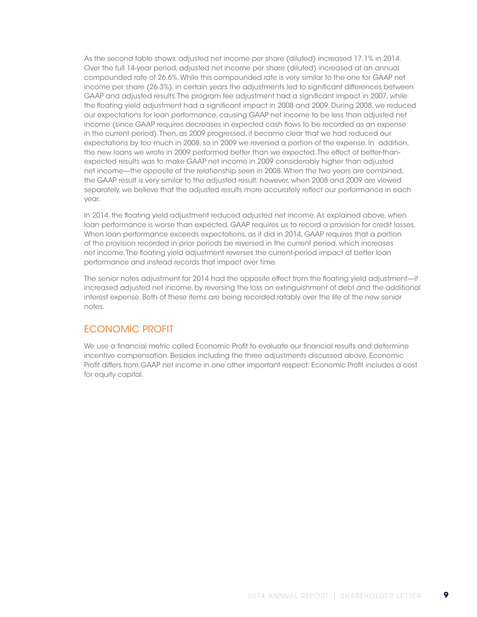As the second table shows, adjusted net income per share (diluted) increased 17.1% in 2014. Over the full 14-year period, adjusted net income per share (diluted) increased at an annual compounded rate of 26.6%. While this compounded rate is very similar to the one for GAAP net income per share (26.3%), in certain years the adjustments led to significant differences between GAAP and adjusted results. The program fee adjustment had a significant impact in 2007, while the floating yield adjustment had a significant impact in 2008 and 2009. During 2008, we reduced our expectations for loan performance, causing GAAP net income to be less than adjusted net income (since GAAP requires decreases in expected cash flows to be recorded as an expense in the current period). Then, as 2009 progressed, it became clear that we had reduced our expectations by too much in 2008, so in 2009 we reversed a portion of the expense. In addition, the new loans we wrote in 2009 performed better than we expected. The effect of better-thanexpected results was to make GAAP net income in 2009 considerably higher than adjusted net income—the opposite of the relationship seen in 2008. When the two years are combined, the GAAP result is very similar to the adjusted result; however, when 2008 and 2009 are viewed separately, we believe that the adjusted results more accurately reflect our performance in each year.

In 2014, the floating yield adjustment reduced adjusted net income. As explained above, when loan performance is worse than expected, GAAP requires us to record a provision for credit losses. When loan performance exceeds expectations, as it did in 2014, GAAP requires that a portion of the provision recorded in prior periods be reversed in the current period, which increases net income. The floating yield adjustment reverses the current-period impact of better loan performance and instead records that impact over time.

The senior notes adjustment for 2014 had the opposite effect from the floating yield adjustment—it increased adjusted net income, by reversing the loss on extinguishment of debt and the additional interest expense. Both of these items are being recorded ratably over the life of the new senior notes.

# ECONOMIC PROFIT

We use a financial metric called Economic Profit to evaluate our financial results and determine incentive compensation. Besides including the three adjustments discussed above, Economic Profit differs from GAAP net income in one other important respect: Economic Profit includes a cost for equity capital.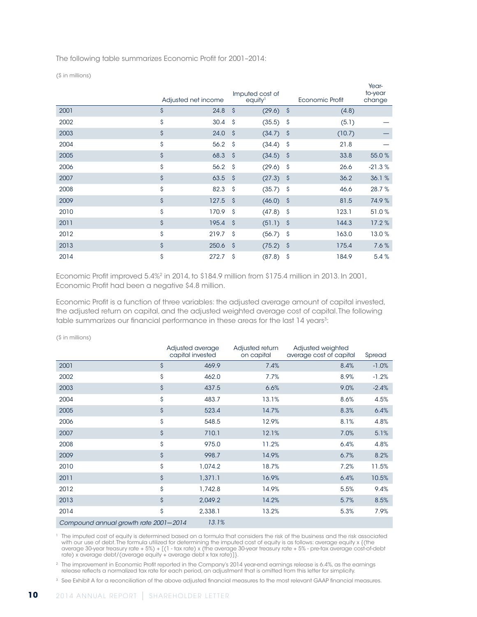The following table summarizes Economic Profit for 2001–2014:

(\$ in millions)

|      |                    | Adjusted net income |                    | Imputed cost of<br>equity <sup>1</sup> |                    | Economic Profit | Year-<br>to-year<br>change |
|------|--------------------|---------------------|--------------------|----------------------------------------|--------------------|-----------------|----------------------------|
| 2001 | \$                 | 24.8                | $\mathsf{\hat{S}}$ | (29.6)                                 | -\$                | (4.8)           |                            |
| 2002 | \$                 | 30.4                | \$                 | (35.5)                                 | -\$                | (5.1)           |                            |
| 2003 | \$                 | 24.0                | $\mathsf{\hat{S}}$ | (34.7)                                 | S.                 | (10.7)          |                            |
| 2004 | \$                 | 56.2                | Ŝ                  | (34.4)                                 | -\$                | 21.8            |                            |
| 2005 | \$                 | 68.3                | -Ŝ                 | (34.5)                                 | -\$                | 33.8            | 55.0%                      |
| 2006 | \$                 | 56.2                | \$                 | (29.6)                                 | -\$                | 26.6            | $-21.3%$                   |
| 2007 | \$                 | 63.5                | - \$               | (27.3)                                 | -\$                | 36.2            | 36.1%                      |
| 2008 | \$                 | 82.3                | Ŝ                  | (35.7)                                 | -Ŝ                 | 46.6            | 28.7%                      |
| 2009 | \$                 | 127.5               | $\mathsf{\hat{S}}$ | (46.0)                                 | -\$                | 81.5            | 74.9%                      |
| 2010 | \$                 | 170.9               | \$                 | (47.8)                                 | -\$                | 123.1           | 51.0%                      |
| 2011 | \$                 | 195.4               | $\mathsf{\hat{S}}$ | (51.1)                                 | $\hat{\mathsf{S}}$ | 144.3           | 17.2%                      |
| 2012 | \$                 | 219.7               | <sup>S</sup>       | (56.7)                                 | -\$                | 163.0           | 13.0%                      |
| 2013 | $\mathsf{\hat{S}}$ | 250.6               | $\mathsf{\hat{S}}$ | (75.2)                                 | $\mathsf{S}$       | 175.4           | 7.6%                       |
| 2014 | \$                 | 272.7               | Ŝ                  | (87.8)                                 | \$                 | 184.9           | 5.4%                       |

Economic Profit improved 5.4%<sup>2</sup> in 2014, to \$184.9 million from \$175.4 million in 2013. In 2001, Economic Profit had been a negative \$4.8 million.

Economic Profit is a function of three variables: the adjusted average amount of capital invested, the adjusted return on capital, and the adjusted weighted average cost of capital. The following table summarizes our financial performance in these areas for the last 14 years<sup>3</sup>:

| $\sqrt{2}$ 11 1 11 11 11 11 10 1      |                    |                                      |                               |                                              |         |
|---------------------------------------|--------------------|--------------------------------------|-------------------------------|----------------------------------------------|---------|
|                                       |                    | Adjusted average<br>capital invested | Adjusted return<br>on capital | Adjusted weighted<br>average cost of capital | Spread  |
| 2001                                  | $\mathsf{\hat{S}}$ | 469.9                                | 7.4%                          | 8.4%                                         | $-1.0%$ |
| 2002                                  | \$                 | 462.0                                | 7.7%                          | 8.9%                                         | $-1.2%$ |
| 2003                                  | $\hat{\mathsf{S}}$ | 437.5                                | 6.6%                          | 9.0%                                         | $-2.4%$ |
| 2004                                  | \$                 | 483.7                                | 13.1%                         | 8.6%                                         | 4.5%    |
| 2005                                  | \$                 | 523.4                                | 14.7%                         | 8.3%                                         | 6.4%    |
| 2006                                  | \$                 | 548.5                                | 12.9%                         | 8.1%                                         | 4.8%    |
| 2007                                  | \$                 | 710.1                                | 12.1%                         | 7.0%                                         | 5.1%    |
| 2008                                  | \$                 | 975.0                                | 11.2%                         | 6.4%                                         | 4.8%    |
| 2009                                  | $\mathsf{\hat{S}}$ | 998.7                                | 14.9%                         | 6.7%                                         | 8.2%    |
| 2010                                  | \$                 | 1,074.2                              | 18.7%                         | 7.2%                                         | 11.5%   |
| 2011                                  | \$                 | 1,371.1                              | 16.9%                         | 6.4%                                         | 10.5%   |
| 2012                                  | \$                 | 1,742.8                              | 14.9%                         | 5.5%                                         | 9.4%    |
| 2013                                  | $\mathsf{\hat{S}}$ | 2,049.2                              | 14.2%                         | 5.7%                                         | 8.5%    |
| 2014                                  | \$                 | 2,338.1                              | 13.2%                         | 5.3%                                         | 7.9%    |
| Compound annual growth rate 2001-2014 |                    | 13.1%                                |                               |                                              |         |

(\$ in millions)

<sup>1</sup> The imputed cost of equity is determined based on a formula that considers the risk of the business and the risk associated with our use of debt. The formula utilized for determining the imputed cost of equity is as follows: average equity x {(the average 30-year treasury rate + 5%) + [(1 - tax rate) x (the average 30-year treasury rate + 5% - pre-tax average cost-of-debt rate) x average debt/(average equity + average debt x tax rate)]}.

<sup>2</sup> The improvement in Economic Profit reported in the Company's 2014 year-end earnings release is 6.4%, as the earnings release reflects a normalized tax rate for each period, an adjustment that is omitted from this letter for simplicity.

<sup>3</sup> See Exhibit A for a reconciliation of the above adjusted financial measures to the most relevant GAAP financial measures.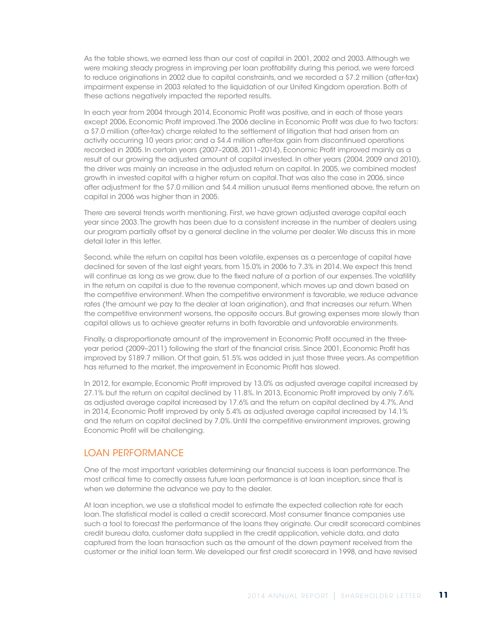As the table shows, we earned less than our cost of capital in 2001, 2002 and 2003. Although we were making steady progress in improving per loan profitability during this period, we were forced to reduce originations in 2002 due to capital constraints, and we recorded a \$7.2 million (after-tax) impairment expense in 2003 related to the liquidation of our United Kingdom operation. Both of these actions negatively impacted the reported results.

In each year from 2004 through 2014, Economic Profit was positive, and in each of those years except 2006, Economic Profit improved. The 2006 decline in Economic Profit was due to two factors: a \$7.0 million (after-tax) charge related to the settlement of litigation that had arisen from an activity occurring 10 years prior; and a \$4.4 million after-tax gain from discontinued operations recorded in 2005. In certain years (2007–2008, 2011–2014), Economic Profit improved mainly as a result of our growing the adjusted amount of capital invested. In other years (2004, 2009 and 2010), the driver was mainly an increase in the adjusted return on capital. In 2005, we combined modest growth in invested capital with a higher return on capital. That was also the case in 2006, since after adjustment for the \$7.0 million and \$4.4 million unusual items mentioned above, the return on capital in 2006 was higher than in 2005.

There are several trends worth mentioning. First, we have grown adjusted average capital each year since 2003. The growth has been due to a consistent increase in the number of dealers using our program partially offset by a general decline in the volume per dealer. We discuss this in more detail later in this letter.

Second, while the return on capital has been volatile, expenses as a percentage of capital have declined for seven of the last eight years, from 15.0% in 2006 to 7.3% in 2014. We expect this trend will continue as long as we grow, due to the fixed nature of a portion of our expenses. The volatility in the return on capital is due to the revenue component, which moves up and down based on the competitive environment. When the competitive environment is favorable, we reduce advance rates (the amount we pay to the dealer at loan origination), and that increases our return. When the competitive environment worsens, the opposite occurs. But growing expenses more slowly than capital allows us to achieve greater returns in both favorable and unfavorable environments.

Finally, a disproportionate amount of the improvement in Economic Profit occurred in the threeyear period (2009–2011) following the start of the financial crisis. Since 2001, Economic Profit has improved by \$189.7 million. Of that gain, 51.5% was added in just those three years. As competition has returned to the market, the improvement in Economic Profit has slowed.

In 2012, for example, Economic Profit improved by 13.0% as adjusted average capital increased by 27.1% but the return on capital declined by 11.8%. In 2013, Economic Profit improved by only 7.6% as adjusted average capital increased by 17.6% and the return on capital declined by 4.7%. And in 2014, Economic Profit improved by only 5.4% as adjusted average capital increased by 14.1% and the return on capital declined by 7.0%. Until the competitive environment improves, growing Economic Profit will be challenging.

### LOAN PERFORMANCE

One of the most important variables determining our financial success is loan performance. The most critical time to correctly assess future loan performance is at loan inception, since that is when we determine the advance we pay to the dealer.

At loan inception, we use a statistical model to estimate the expected collection rate for each loan. The statistical model is called a credit scorecard. Most consumer finance companies use such a tool to forecast the performance of the loans they originate. Our credit scorecard combines credit bureau data, customer data supplied in the credit application, vehicle data, and data captured from the loan transaction such as the amount of the down payment received from the customer or the initial loan term. We developed our first credit scorecard in 1998, and have revised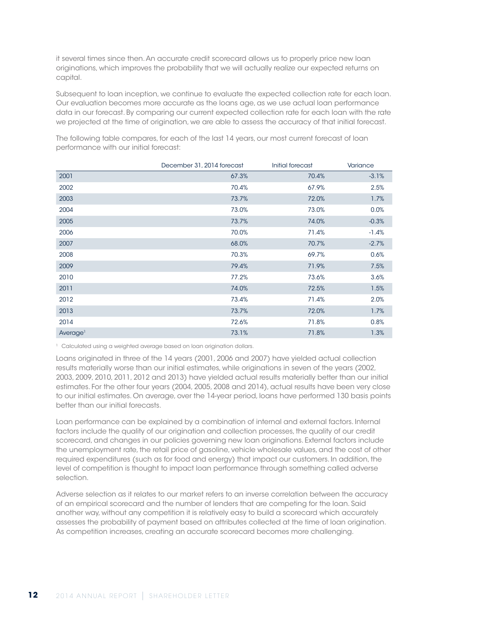it several times since then. An accurate credit scorecard allows us to properly price new loan originations, which improves the probability that we will actually realize our expected returns on capital.

Subsequent to loan inception, we continue to evaluate the expected collection rate for each loan. Our evaluation becomes more accurate as the loans age, as we use actual loan performance data in our forecast. By comparing our current expected collection rate for each loan with the rate we projected at the time of origination, we are able to assess the accuracy of that initial forecast.

|                      | December 31, 2014 forecast | Initial forecast | Variance |
|----------------------|----------------------------|------------------|----------|
| 2001                 | 67.3%                      | 70.4%            | $-3.1%$  |
| 2002                 | 70.4%                      | 67.9%            | 2.5%     |
| 2003                 | 73.7%                      | 72.0%            | 1.7%     |
| 2004                 | 73.0%                      | 73.0%            | 0.0%     |
| 2005                 | 73.7%                      | 74.0%            | $-0.3%$  |
| 2006                 | 70.0%                      | 71.4%            | $-1.4%$  |
| 2007                 | 68.0%                      | 70.7%            | $-2.7%$  |
| 2008                 | 70.3%                      | 69.7%            | 0.6%     |
| 2009                 | 79.4%                      | 71.9%            | 7.5%     |
| 2010                 | 77.2%                      | 73.6%            | 3.6%     |
| 2011                 | 74.0%                      | 72.5%            | 1.5%     |
| 2012                 | 73.4%                      | 71.4%            | 2.0%     |
| 2013                 | 73.7%                      | 72.0%            | 1.7%     |
| 2014                 | 72.6%                      | 71.8%            | 0.8%     |
| Average <sup>1</sup> | 73.1%                      | 71.8%            | 1.3%     |

The following table compares, for each of the last 14 years, our most current forecast of loan performance with our initial forecast:

<sup>1</sup> Calculated using a weighted average based on loan origination dollars.

Loans originated in three of the 14 years (2001, 2006 and 2007) have yielded actual collection results materially worse than our initial estimates, while originations in seven of the years (2002, 2003, 2009, 2010, 2011, 2012 and 2013) have yielded actual results materially better than our initial estimates. For the other four years (2004, 2005, 2008 and 2014), actual results have been very close to our initial estimates. On average, over the 14-year period, loans have performed 130 basis points better than our initial forecasts.

Loan performance can be explained by a combination of internal and external factors. Internal factors include the quality of our origination and collection processes, the quality of our credit scorecard, and changes in our policies governing new loan originations. External factors include the unemployment rate, the retail price of gasoline, vehicle wholesale values, and the cost of other required expenditures (such as for food and energy) that impact our customers. In addition, the level of competition is thought to impact loan performance through something called adverse selection.

Adverse selection as it relates to our market refers to an inverse correlation between the accuracy of an empirical scorecard and the number of lenders that are competing for the loan. Said another way, without any competition it is relatively easy to build a scorecard which accurately assesses the probability of payment based on attributes collected at the time of loan origination. As competition increases, creating an accurate scorecard becomes more challenging.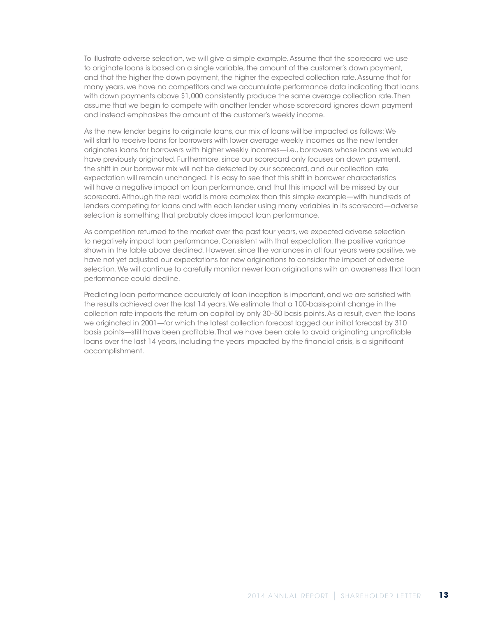To illustrate adverse selection, we will give a simple example. Assume that the scorecard we use to originate loans is based on a single variable, the amount of the customer's down payment, and that the higher the down payment, the higher the expected collection rate. Assume that for many years, we have no competitors and we accumulate performance data indicating that loans with down payments above \$1,000 consistently produce the same average collection rate. Then assume that we begin to compete with another lender whose scorecard ignores down payment and instead emphasizes the amount of the customer's weekly income.

As the new lender begins to originate loans, our mix of loans will be impacted as follows: We will start to receive loans for borrowers with lower average weekly incomes as the new lender originates loans for borrowers with higher weekly incomes—i.e., borrowers whose loans we would have previously originated. Furthermore, since our scorecard only focuses on down payment, the shift in our borrower mix will not be detected by our scorecard, and our collection rate expectation will remain unchanged. It is easy to see that this shift in borrower characteristics will have a negative impact on loan performance, and that this impact will be missed by our scorecard. Although the real world is more complex than this simple example—with hundreds of lenders competing for loans and with each lender using many variables in its scorecard—adverse selection is something that probably does impact loan performance.

As competition returned to the market over the past four years, we expected adverse selection to negatively impact loan performance. Consistent with that expectation, the positive variance shown in the table above declined. However, since the variances in all four years were positive, we have not yet adjusted our expectations for new originations to consider the impact of adverse selection. We will continue to carefully monitor newer loan originations with an awareness that loan performance could decline.

Predicting loan performance accurately at loan inception is important, and we are satisfied with the results achieved over the last 14 years. We estimate that a 100-basis-point change in the collection rate impacts the return on capital by only 30–50 basis points. As a result, even the loans we originated in 2001—for which the latest collection forecast lagged our initial forecast by 310 basis points—still have been profitable. That we have been able to avoid originating unprofitable loans over the last 14 years, including the years impacted by the financial crisis, is a significant accomplishment.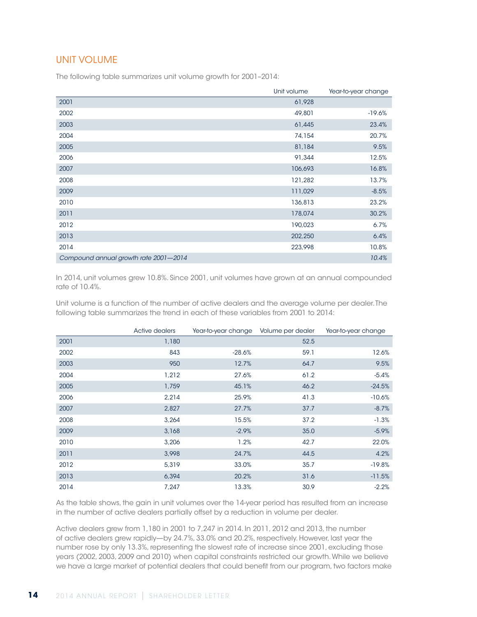### UNIT VOLUME

The following table summarizes unit volume growth for 2001–2014:

|                                       | Unit volume | Year-to-year change |
|---------------------------------------|-------------|---------------------|
| 2001                                  | 61,928      |                     |
| 2002                                  | 49,801      | $-19.6%$            |
| 2003                                  | 61,445      | 23.4%               |
| 2004                                  | 74,154      | 20.7%               |
| 2005                                  | 81,184      | 9.5%                |
| 2006                                  | 91,344      | 12.5%               |
| 2007                                  | 106,693     | 16.8%               |
| 2008                                  | 121,282     | 13.7%               |
| 2009                                  | 111,029     | $-8.5%$             |
| 2010                                  | 136,813     | 23.2%               |
| 2011                                  | 178,074     | 30.2%               |
| 2012                                  | 190,023     | 6.7%                |
| 2013                                  | 202,250     | 6.4%                |
| 2014                                  | 223,998     | 10.8%               |
| Compound annual growth rate 2001-2014 |             | 10.4%               |

In 2014, unit volumes grew 10.8%. Since 2001, unit volumes have grown at an annual compounded rate of 10.4%.

Unit volume is a function of the number of active dealers and the average volume per dealer. The following table summarizes the trend in each of these variables from 2001 to 2014:

|      | Active dealers | Year-to-year change Volume per dealer |      | Year-to-year change |
|------|----------------|---------------------------------------|------|---------------------|
| 2001 | 1,180          |                                       | 52.5 |                     |
| 2002 | 843            | $-28.6%$                              | 59.1 | 12.6%               |
| 2003 | 950            | 12.7%                                 | 64.7 | 9.5%                |
| 2004 | 1,212          | 27.6%                                 | 61.2 | $-5.4%$             |
| 2005 | 1,759          | 45.1%                                 | 46.2 | $-24.5%$            |
| 2006 | 2,214          | 25.9%                                 | 41.3 | $-10.6%$            |
| 2007 | 2,827          | 27.7%                                 | 37.7 | $-8.7%$             |
| 2008 | 3,264          | 15.5%                                 | 37.2 | $-1.3%$             |
| 2009 | 3,168          | $-2.9%$                               | 35.0 | $-5.9%$             |
| 2010 | 3,206          | 1.2%                                  | 42.7 | 22.0%               |
| 2011 | 3,998          | 24.7%                                 | 44.5 | 4.2%                |
| 2012 | 5,319          | 33.0%                                 | 35.7 | $-19.8%$            |
| 2013 | 6,394          | 20.2%                                 | 31.6 | $-11.5%$            |
| 2014 | 7,247          | 13.3%                                 | 30.9 | $-2.2%$             |

As the table shows, the gain in unit volumes over the 14-year period has resulted from an increase in the number of active dealers partially offset by a reduction in volume per dealer.

Active dealers grew from 1,180 in 2001 to 7,247 in 2014. In 2011, 2012 and 2013, the number of active dealers grew rapidly—by 24.7%, 33.0% and 20.2%, respectively. However, last year the number rose by only 13.3%, representing the slowest rate of increase since 2001, excluding those years (2002, 2003, 2009 and 2010) when capital constraints restricted our growth. While we believe we have a large market of potential dealers that could benefit from our program, two factors make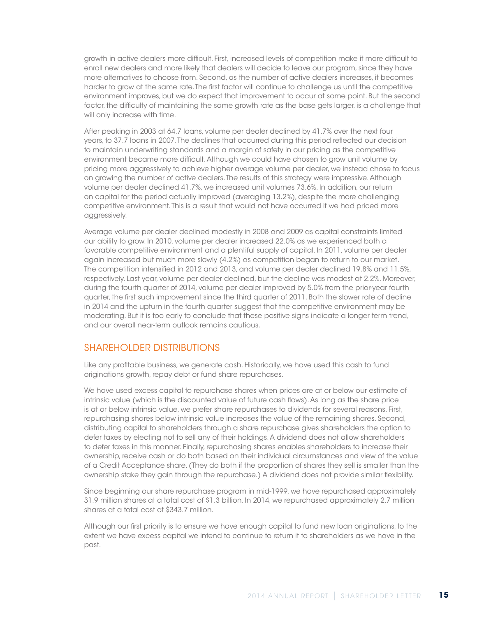growth in active dealers more difficult. First, increased levels of competition make it more difficult to enroll new dealers and more likely that dealers will decide to leave our program, since they have more alternatives to choose from. Second, as the number of active dealers increases, it becomes harder to grow at the same rate. The first factor will continue to challenge us until the competitive environment improves, but we do expect that improvement to occur at some point. But the second factor, the difficulty of maintaining the same growth rate as the base gets larger, is a challenge that will only increase with time.

After peaking in 2003 at 64.7 loans, volume per dealer declined by 41.7% over the next four years, to 37.7 loans in 2007. The declines that occurred during this period reflected our decision to maintain underwriting standards and a margin of safety in our pricing as the competitive environment became more difficult. Although we could have chosen to grow unit volume by pricing more aggressively to achieve higher average volume per dealer, we instead chose to focus on growing the number of active dealers. The results of this strategy were impressive. Although volume per dealer declined 41.7%, we increased unit volumes 73.6%. In addition, our return on capital for the period actually improved (averaging 13.2%), despite the more challenging competitive environment. This is a result that would not have occurred if we had priced more aggressively.

Average volume per dealer declined modestly in 2008 and 2009 as capital constraints limited our ability to grow. In 2010, volume per dealer increased 22.0% as we experienced both a favorable competitive environment and a plentiful supply of capital. In 2011, volume per dealer again increased but much more slowly (4.2%) as competition began to return to our market. The competition intensified in 2012 and 2013, and volume per dealer declined 19.8% and 11.5%, respectively. Last year, volume per dealer declined, but the decline was modest at 2.2%. Moreover, during the fourth quarter of 2014, volume per dealer improved by 5.0% from the prior-year fourth quarter, the first such improvement since the third quarter of 2011. Both the slower rate of decline in 2014 and the upturn in the fourth quarter suggest that the competitive environment may be moderating. But it is too early to conclude that these positive signs indicate a longer term trend, and our overall near-term outlook remains cautious.

### SHAREHOLDER DISTRIBUTIONS

Like any profitable business, we generate cash. Historically, we have used this cash to fund originations growth, repay debt or fund share repurchases.

We have used excess capital to repurchase shares when prices are at or below our estimate of intrinsic value (which is the discounted value of future cash flows). As long as the share price is at or below intrinsic value, we prefer share repurchases to dividends for several reasons. First, repurchasing shares below intrinsic value increases the value of the remaining shares. Second, distributing capital to shareholders through a share repurchase gives shareholders the option to defer taxes by electing not to sell any of their holdings. A dividend does not allow shareholders to defer taxes in this manner. Finally, repurchasing shares enables shareholders to increase their ownership, receive cash or do both based on their individual circumstances and view of the value of a Credit Acceptance share. (They do both if the proportion of shares they sell is smaller than the ownership stake they gain through the repurchase.) A dividend does not provide similar flexibility.

Since beginning our share repurchase program in mid-1999, we have repurchased approximately 31.9 million shares at a total cost of \$1.3 billion. In 2014, we repurchased approximately 2.7 million shares at a total cost of \$343.7 million.

Although our first priority is to ensure we have enough capital to fund new loan originations, to the extent we have excess capital we intend to continue to return it to shareholders as we have in the past.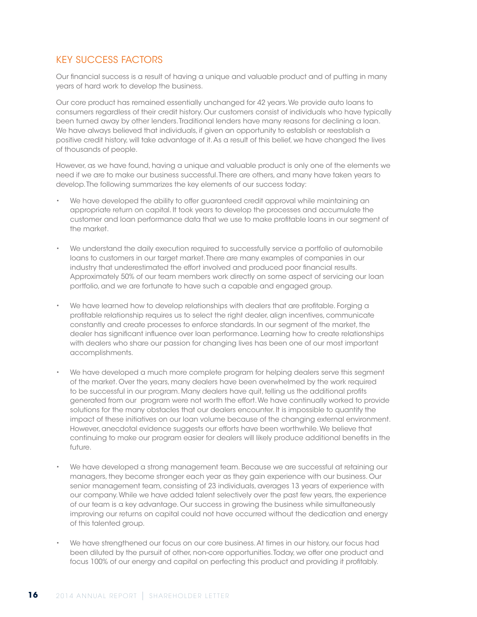### KEY SUCCESS FACTORS

Our financial success is a result of having a unique and valuable product and of putting in many years of hard work to develop the business.

Our core product has remained essentially unchanged for 42 years. We provide auto loans to consumers regardless of their credit history. Our customers consist of individuals who have typically been turned away by other lenders. Traditional lenders have many reasons for declining a loan. We have always believed that individuals, if given an opportunity to establish or reestablish a positive credit history, will take advantage of it. As a result of this belief, we have changed the lives of thousands of people.

However, as we have found, having a unique and valuable product is only one of the elements we need if we are to make our business successful. There are others, and many have taken years to develop. The following summarizes the key elements of our success today:

- We have developed the ability to offer guaranteed credit approval while maintaining an appropriate return on capital. It took years to develop the processes and accumulate the customer and loan performance data that we use to make profitable loans in our segment of the market.
- We understand the daily execution required to successfully service a portfolio of automobile loans to customers in our target market. There are many examples of companies in our industry that underestimated the effort involved and produced poor financial results. Approximately 50% of our team members work directly on some aspect of servicing our loan portfolio, and we are fortunate to have such a capable and engaged group.
- We have learned how to develop relationships with dealers that are profitable. Forging a profitable relationship requires us to select the right dealer, align incentives, communicate constantly and create processes to enforce standards. In our segment of the market, the dealer has significant influence over loan performance. Learning how to create relationships with dealers who share our passion for changing lives has been one of our most important accomplishments.
- We have developed a much more complete program for helping dealers serve this segment of the market. Over the years, many dealers have been overwhelmed by the work required to be successful in our program. Many dealers have quit, telling us the additional profits generated from our program were not worth the effort. We have continually worked to provide solutions for the many obstacles that our dealers encounter. It is impossible to quantify the impact of these initiatives on our loan volume because of the changing external environment. However, anecdotal evidence suggests our efforts have been worthwhile. We believe that continuing to make our program easier for dealers will likely produce additional benefits in the future.
- We have developed a strong management team. Because we are successful at retaining our managers, they become stronger each year as they gain experience with our business. Our senior management team, consisting of 23 individuals, averages 13 years of experience with our company. While we have added talent selectively over the past few years, the experience of our team is a key advantage. Our success in growing the business while simultaneously improving our returns on capital could not have occurred without the dedication and energy of this talented group.
- We have strengthened our focus on our core business. At times in our history, our focus had been diluted by the pursuit of other, non-core opportunities. Today, we offer one product and focus 100% of our energy and capital on perfecting this product and providing it profitably.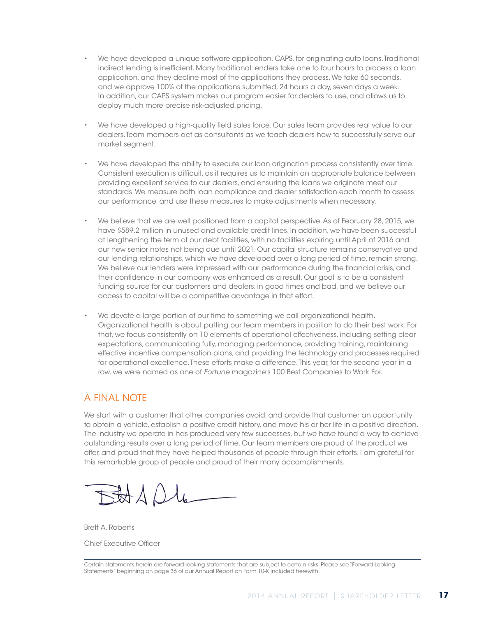- We have developed a unique software application, CAPS, for originating auto loans. Traditional indirect lending is inefficient. Many traditional lenders take one to four hours to process a loan application, and they decline most of the applications they process. We take 60 seconds, and we approve 100% of the applications submitted, 24 hours a day, seven days a week. In addition, our CAPS system makes our program easier for dealers to use, and allows us to deploy much more precise risk-adjusted pricing.
- We have developed a high-quality field sales force. Our sales team provides real value to our dealers. Team members act as consultants as we teach dealers how to successfully serve our market segment.
- We have developed the ability to execute our loan origination process consistently over time. Consistent execution is difficult, as it requires us to maintain an appropriate balance between providing excellent service to our dealers, and ensuring the loans we originate meet our standards. We measure both loan compliance and dealer satisfaction each month to assess our performance, and use these measures to make adjustments when necessary.
- We believe that we are well positioned from a capital perspective. As of February 28, 2015, we have \$589.2 million in unused and available credit lines. In addition, we have been successful at lengthening the term of our debt facilities, with no facilities expiring until April of 2016 and our new senior notes not being due until 2021. Our capital structure remains conservative and our lending relationships, which we have developed over a long period of time, remain strong. We believe our lenders were impressed with our performance during the financial crisis, and their confidence in our company was enhanced as a result. Our goal is to be a consistent funding source for our customers and dealers, in good times and bad, and we believe our access to capital will be a competitive advantage in that effort.
- We devote a large portion of our time to something we call organizational health. Organizational health is about putting our team members in position to do their best work. For that, we focus consistently on 10 elements of operational effectiveness, including setting clear expectations, communicating fully, managing performance, providing training, maintaining effective incentive compensation plans, and providing the technology and processes required for operational excellence. These efforts make a difference. This year, for the second year in a row, we were named as one of *Fortune* magazine's 100 Best Companies to Work For.

# A FINAL NOTE

We start with a customer that other companies avoid, and provide that customer an opportunity to obtain a vehicle, establish a positive credit history, and move his or her life in a positive direction. The industry we operate in has produced very few successes, but we have found a way to achieve outstanding results over a long period of time. Our team members are proud of the product we offer, and proud that they have helped thousands of people through their efforts. I am grateful for this remarkable group of people and proud of their many accomplishments.

SHAD4

Brett A. Roberts Chief Executive Officer

Certain statements herein are forward-looking statements that are subject to certain risks. Please see "Forward-Looking Statements" beginning on page 36 of our Annual Report on Form 10-K included herewith.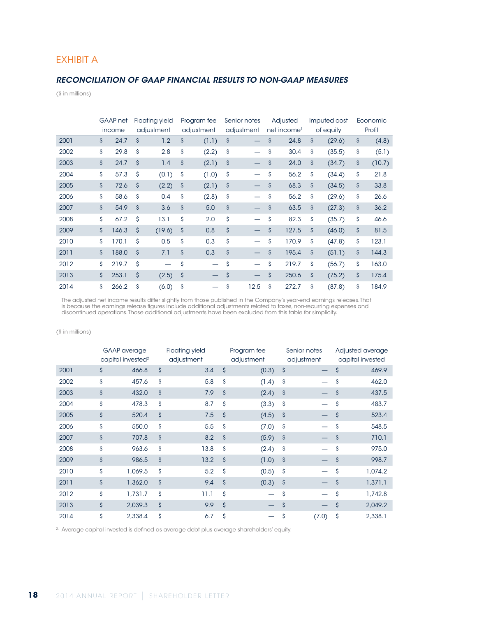### EXHIBIT A

#### *RECONCILIATION OF GAAP FINANCIAL RESULTS TO NON-GAAP MEASURES*

(\$ in millions)

|      | GAAP net    |                    | <b>Floating yield</b> |                    | Program fee | Senior notes                   |                    | Adjusted                | Imputed cost       |           | Economic |        |
|------|-------------|--------------------|-----------------------|--------------------|-------------|--------------------------------|--------------------|-------------------------|--------------------|-----------|----------|--------|
|      | income      |                    | adjustment            |                    | adjustment  | adjustment                     |                    | net income <sup>1</sup> |                    | of equity |          | Profit |
| 2001 | \$<br>24.7  | \$                 | 1.2                   | \$                 | (1.1)       | \$                             | \$                 | 24.8                    | \$                 | (29.6)    | \$       | (4.8)  |
| 2002 | \$<br>29.8  | \$                 | 2.8                   | \$                 | (2.2)       | \$<br>$\overline{\phantom{0}}$ | \$                 | 30.4                    | \$                 | (35.5)    | \$       | (5.1)  |
| 2003 | \$<br>24.7  | \$                 | 1.4                   | \$                 | (2.1)       | \$                             | \$                 | 24.0                    | $\mathsf{\hat{S}}$ | (34.7)    | \$       | (10.7) |
| 2004 | \$<br>57.3  | \$                 | (0.1)                 | \$                 | (1.0)       | \$<br>$\overline{\phantom{0}}$ | Ŝ                  | 56.2                    | \$                 | (34.4)    | \$       | 21.8   |
| 2005 | \$<br>72.6  | \$                 | (2.2)                 | \$                 | (2.1)       | \$<br>—                        | \$                 | 68.3                    | \$                 | (34.5)    | \$       | 33.8   |
| 2006 | \$<br>58.6  | \$                 | 0.4                   | \$                 | (2.8)       | \$<br>$\overline{\phantom{0}}$ | \$                 | 56.2                    | \$                 | (29.6)    | \$       | 26.6   |
| 2007 | \$<br>54.9  | $\mathsf{\hat{S}}$ | 3.6                   | \$                 | 5.0         | \$                             | \$                 | 63.5                    | \$                 | (27.3)    | \$       | 36.2   |
| 2008 | \$<br>67.2  | \$                 | 13.1                  | \$                 | 2.0         | \$<br>$\overline{\phantom{0}}$ | \$                 | 82.3                    | \$                 | (35.7)    | \$       | 46.6   |
| 2009 | \$<br>146.3 | \$                 | (19.6)                | \$                 | 0.8         | \$                             | $\mathsf{\hat{S}}$ | 127.5                   | $\mathsf{\hat{S}}$ | (46.0)    | \$       | 81.5   |
| 2010 | \$<br>170.1 | \$                 | 0.5                   | \$                 | 0.3         | \$<br>-                        | \$                 | 170.9                   | \$                 | (47.8)    | \$       | 123.1  |
| 2011 | \$<br>188.0 | $\mathsf{\hat{S}}$ | 7.1                   | $\mathsf{\hat{S}}$ | 0.3         | \$                             | $\mathsf{\hat{S}}$ | 195.4                   | $\mathsf{\hat{S}}$ | (51.1)    | \$       | 144.3  |
| 2012 | \$<br>219.7 | \$                 |                       | \$                 |             | \$<br>$\overline{\phantom{0}}$ | \$                 | 219.7                   | Ś                  | (56.7)    | \$       | 163.0  |
| 2013 | \$<br>253.1 | \$                 | (2.5)                 | \$                 |             | \$<br>$\qquad \qquad -$        | $\mathsf{\hat{S}}$ | 250.6                   | \$                 | (75.2)    | \$       | 175.4  |
| 2014 | \$<br>266.2 | \$                 | (6.0)                 | \$                 |             | \$<br>12.5                     | \$                 | 272.7                   | Ś.                 | (87.8)    | \$       | 184.9  |

<sup>1</sup> The adjusted net income results differ slightly from those published in the Company's year-end earnings releases. That is because the earnings release figures include additional adjustments related to taxes, non-recurring expenses and discontinued operations. Those additional adjustments have been excluded from this table for simplicity.

(\$ in millions)

|      | <b>GAAP</b> average<br>capital invested <sup>2</sup> |                    | <b>Floating yield</b><br>adjustment |                    | Program fee<br>adjustment | Senior notes<br>adjustment |       | Adjusted average<br>capital invested |         |
|------|------------------------------------------------------|--------------------|-------------------------------------|--------------------|---------------------------|----------------------------|-------|--------------------------------------|---------|
| 2001 | \$<br>466.8                                          | \$                 | 3.4                                 | $\mathsf{\hat{S}}$ | (0.3)                     | $\hat{\mathsf{S}}$         |       | \$                                   | 469.9   |
| 2002 | \$<br>457.6                                          | \$                 | 5.8                                 | $\mathsf{\hat{S}}$ | (1.4)                     | \$                         |       | Ŝ                                    | 462.0   |
| 2003 | \$<br>432.0                                          | \$                 | 7.9                                 | $\mathsf{\hat{S}}$ | (2.4)                     | \$                         |       | $\mathsf{\hat{S}}$                   | 437.5   |
| 2004 | \$<br>478.3                                          | \$                 | 8.7                                 | $\mathsf{\hat{S}}$ | (3.3)                     | \$                         |       | \$                                   | 483.7   |
| 2005 | \$<br>520.4                                          | \$                 | 7.5                                 | $\mathsf{\hat{S}}$ | (4.5)                     | $\hat{\mathsf{S}}$         |       | $\mathsf{\hat{S}}$                   | 523.4   |
| 2006 | \$<br>550.0                                          | Ś                  | 5.5                                 | \$                 | (7.0)                     | \$                         |       | Ŝ                                    | 548.5   |
| 2007 | \$<br>707.8                                          | $\mathsf{\hat{S}}$ | 8.2                                 | $\mathsf{\hat{S}}$ | (5.9)                     | $\hat{\mathcal{S}}$        |       | \$                                   | 710.1   |
| 2008 | \$<br>963.6                                          | \$                 | 13.8                                | Ś                  | (2.4)                     | \$                         |       | \$                                   | 975.0   |
| 2009 | \$<br>986.5                                          | \$                 | 13.2                                | $\mathsf{\hat{S}}$ | (1.0)                     | $\hat{\mathsf{S}}$         |       | \$                                   | 998.7   |
| 2010 | \$<br>1.069.5                                        | \$                 | 5.2                                 | $\mathsf{\hat{S}}$ | (0.5)                     | $\mathsf{\hat{S}}$         |       | \$                                   | 1.074.2 |
| 2011 | \$<br>1,362.0                                        | $\mathsf{\hat{S}}$ | 9.4                                 | $\mathsf{\hat{S}}$ | (0.3)                     | $\hat{\mathcal{S}}$        |       | $\mathsf{\hat{S}}$                   | 1,371.1 |
| 2012 | \$<br>1,731.7                                        | Ś                  | 11.1                                | \$                 |                           | \$                         |       | \$                                   | 1,742.8 |
| 2013 | \$<br>2,039.3                                        | $\mathsf{\hat{S}}$ | 9.9                                 | $\mathsf{\hat{S}}$ |                           | $\mathsf{\hat{S}}$         |       | $\mathsf{\hat{S}}$                   | 2,049.2 |
| 2014 | \$<br>2,338.4                                        | \$                 | 6.7                                 | \$                 |                           | \$                         | (7.0) | \$                                   | 2.338.1 |

2. Average capital invested is defined as average debt plus average shareholders' equity.